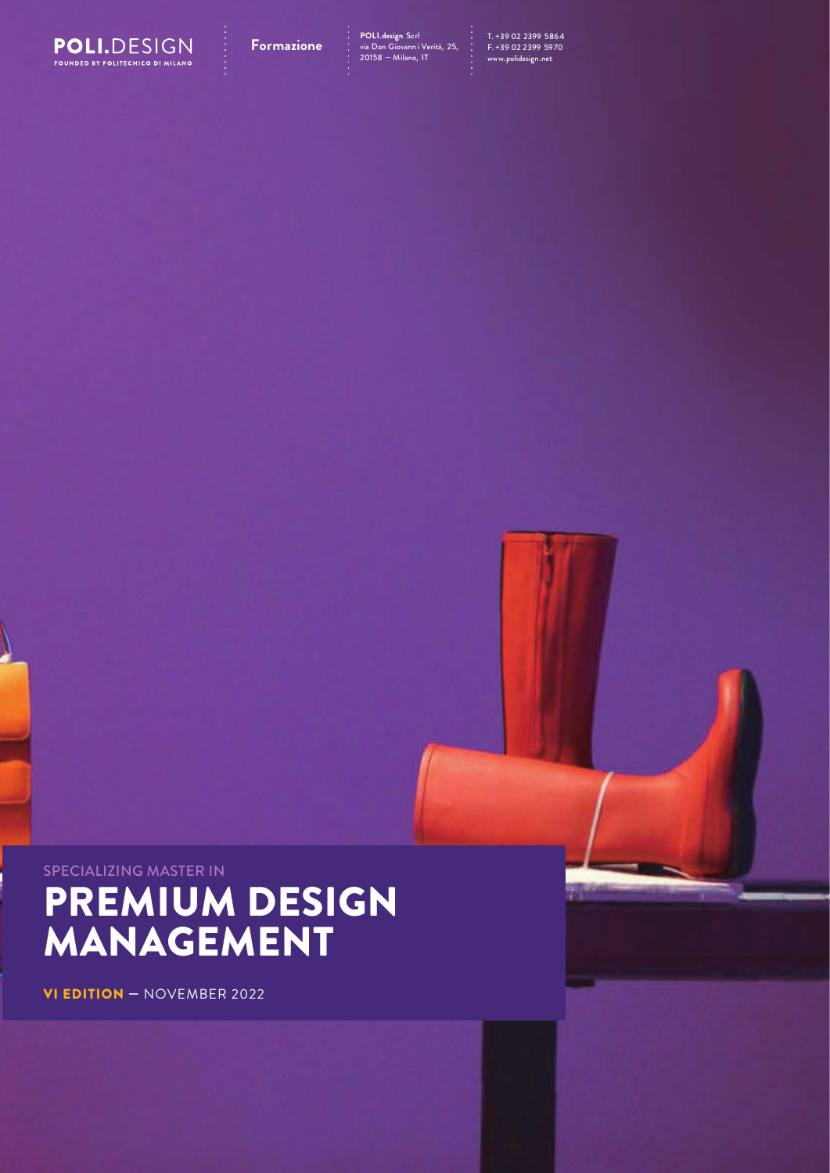

**Formazione** POLI.design Scrl<br>**Formazione** : via Don Giovanni Verità, 25, : F. +39 02 2399 5970<br>20158 — Milano, IT : www.polidesign.net : **POLI.design** Scrl<br>via Don Giovann i Verità, 25,<br>20158 — Milano, IT

# SPECIALIZING MASTER IN PREMIUM DESIGN MANAGEMENT

VI EDITION — NOVEMBER 2022

Ŋ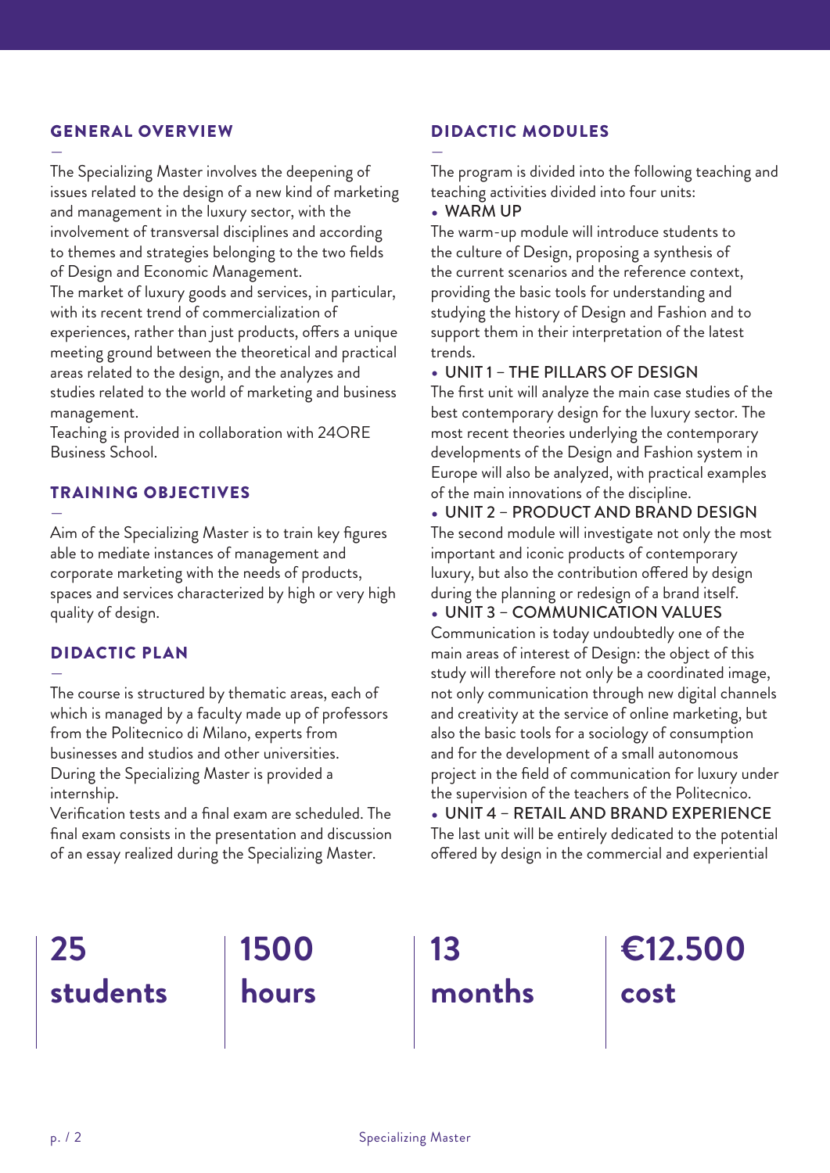#### GENERAL OVERVIEW

— The Specializing Master involves the deepening of issues related to the design of a new kind of marketing and management in the luxury sector, with the involvement of transversal disciplines and according to themes and strategies belonging to the two fields of Design and Economic Management. The market of luxury goods and services, in particular, with its recent trend of commercialization of experiences, rather than just products, offers a unique meeting ground between the theoretical and practical areas related to the design, and the analyzes and

studies related to the world of marketing and business management.

Teaching is provided in collaboration with 24ORE Business School.

## TRAINING OBJECTIVES

— Aim of the Specializing Master is to train key figures able to mediate instances of management and corporate marketing with the needs of products, spaces and services characterized by high or very high quality of design.

#### DIDACTIC PLAN

— The course is structured by thematic areas, each of which is managed by a faculty made up of professors from the Politecnico di Milano, experts from businesses and studios and other universities. During the Specializing Master is provided a internship.

Verification tests and a final exam are scheduled. The final exam consists in the presentation and discussion of an essay realized during the Specializing Master.

## DIDACTIC MODULES

The program is divided into the following teaching and teaching activities divided into four units:

#### • WARM UP

—

The warm-up module will introduce students to the culture of Design, proposing a synthesis of the current scenarios and the reference context, providing the basic tools for understanding and studying the history of Design and Fashion and to support them in their interpretation of the latest trends.

#### • UNIT 1 – THE PILLARS OF DESIGN

The first unit will analyze the main case studies of the best contemporary design for the luxury sector. The most recent theories underlying the contemporary developments of the Design and Fashion system in Europe will also be analyzed, with practical examples of the main innovations of the discipline.

• UNIT 2 – PRODUCT AND BRAND DESIGN The second module will investigate not only the most important and iconic products of contemporary luxury, but also the contribution offered by design during the planning or redesign of a brand itself.

• UNIT 3 – COMMUNICATION VALUES Communication is today undoubtedly one of the main areas of interest of Design: the object of this study will therefore not only be a coordinated image, not only communication through new digital channels and creativity at the service of online marketing, but also the basic tools for a sociology of consumption and for the development of a small autonomous project in the field of communication for luxury under the supervision of the teachers of the Politecnico.

• UNIT 4 – RETAIL AND BRAND EXPERIENCE The last unit will be entirely dedicated to the potential offered by design in the commercial and experiential

## **25 students**

**1500 hours**

**13 months** **€12.500 cost**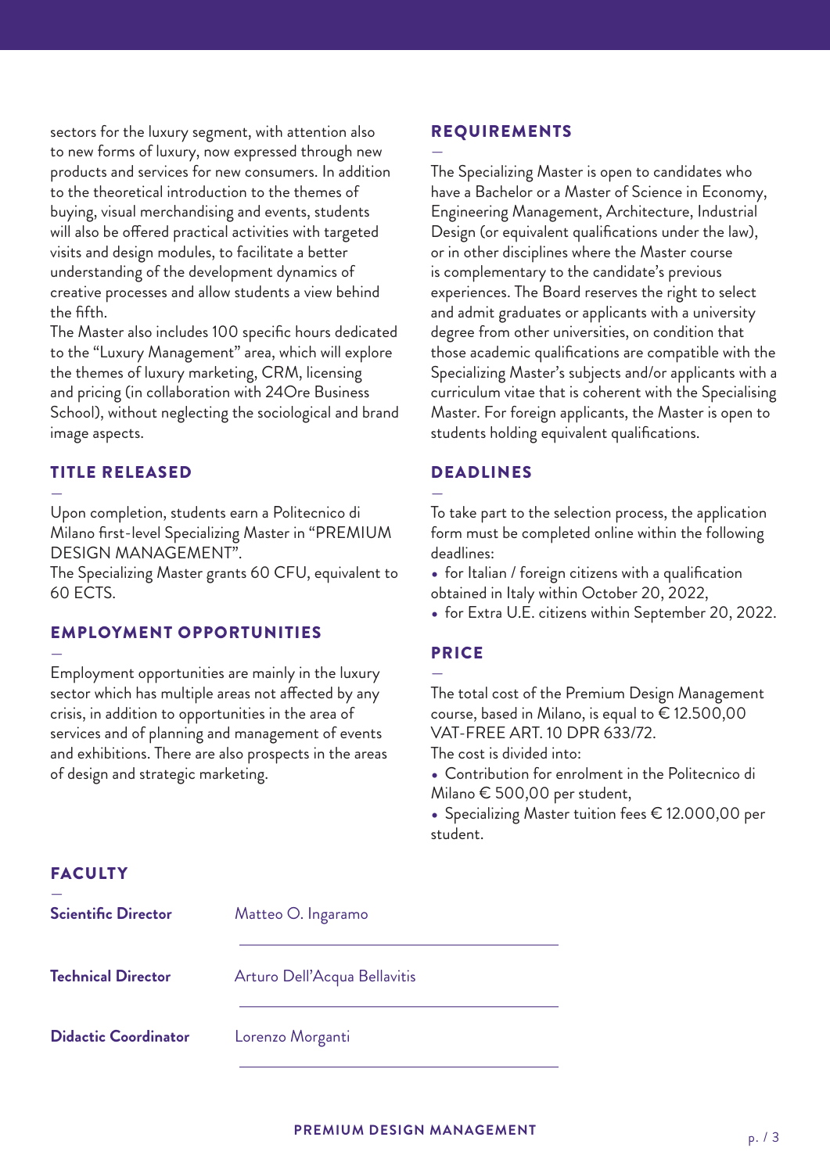sectors for the luxury segment, with attention also to new forms of luxury, now expressed through new products and services for new consumers. In addition to the theoretical introduction to the themes of buying, visual merchandising and events, students will also be offered practical activities with targeted visits and design modules, to facilitate a better understanding of the development dynamics of creative processes and allow students a view behind the fifth.

The Master also includes 100 specific hours dedicated to the "Luxury Management" area, which will explore the themes of luxury marketing, CRM, licensing and pricing (in collaboration with 24Ore Business School), without neglecting the sociological and brand image aspects.

#### TITLE RELEASED

— Upon completion, students earn a Politecnico di Milano first-level Specializing Master in "PREMIUM DESIGN MANAGEMENT".

The Specializing Master grants 60 CFU, equivalent to 60 ECTS.

## EMPLOYMENT OPPORTUNITIES

— Employment opportunities are mainly in the luxury sector which has multiple areas not affected by any crisis, in addition to opportunities in the area of services and of planning and management of events and exhibitions. There are also prospects in the areas of design and strategic marketing.

#### REQUIREMENTS

—

The Specializing Master is open to candidates who have a Bachelor or a Master of Science in Economy, Engineering Management, Architecture, Industrial Design (or equivalent qualifications under the law), or in other disciplines where the Master course is complementary to the candidate's previous experiences. The Board reserves the right to select and admit graduates or applicants with a university degree from other universities, on condition that those academic qualifications are compatible with the Specializing Master's subjects and/or applicants with a curriculum vitae that is coherent with the Specialising Master. For foreign applicants, the Master is open to students holding equivalent qualifications.

## DEADLINES

—

To take part to the selection process, the application form must be completed online within the following deadlines:

• for Italian / foreign citizens with a qualification obtained in Italy within October 20, 2022,

• for Extra U.E. citizens within September 20, 2022.

#### PRICE

—

The total cost of the Premium Design Management course, based in Milano, is equal to € 12.500,00 VAT-FREE ART. 10 DPR 633/72.

The cost is divided into:

- Contribution for enrolment in the Politecnico di Milano € 500,00 per student,
- Specializing Master tuition fees € 12.000,00 per student.

## FACULTY

| <b>Scientific Director</b>  | Matteo O. Ingaramo           |
|-----------------------------|------------------------------|
| <b>Technical Director</b>   | Arturo Dell'Acqua Bellavitis |
| <b>Didactic Coordinator</b> | Lorenzo Morganti             |